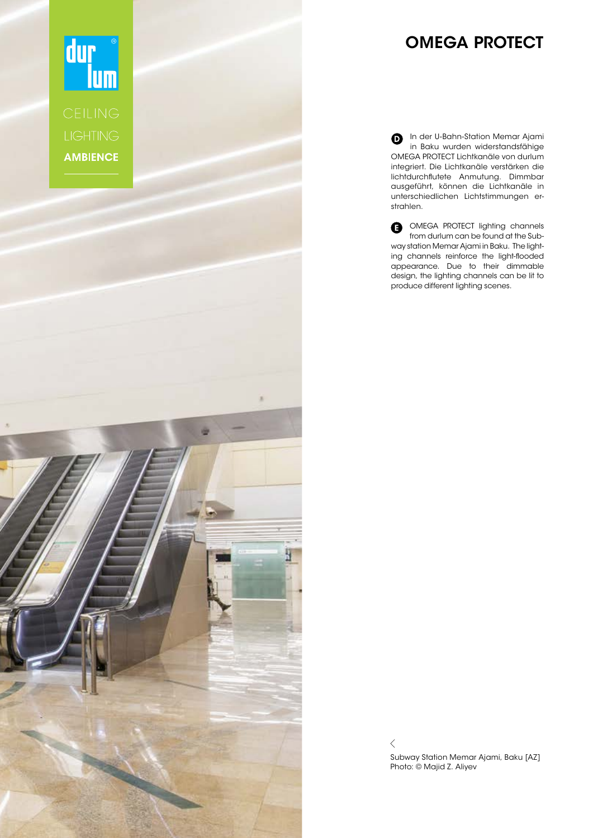

## OMEGA PROTECT

In der U-Bahn-Station Memar Ajami in Baku wurden widerstandsfähige OMEGA PROTECT Lichtkanäle von durlum integriert. Die Lichtkanäle verstärken die lichtdurchflutete Anmutung. Dimmbar ausgeführt, können die Lichtkanäle in unterschiedlichen Lichtstimmungen erstrahlen.

**OMEGA PROTECT lighting channels** from durlum can be found at the Subway station Memar Ajami in Baku. The lighting channels reinforce the light-flooded appearance. Due to their dimmable design, the lighting channels can be lit to produce different lighting scenes.

 $\,$   $\,$   $\,$ Subway Station Memar Ajami, Baku [AZ] Photo: © Majid Z. Aliyev